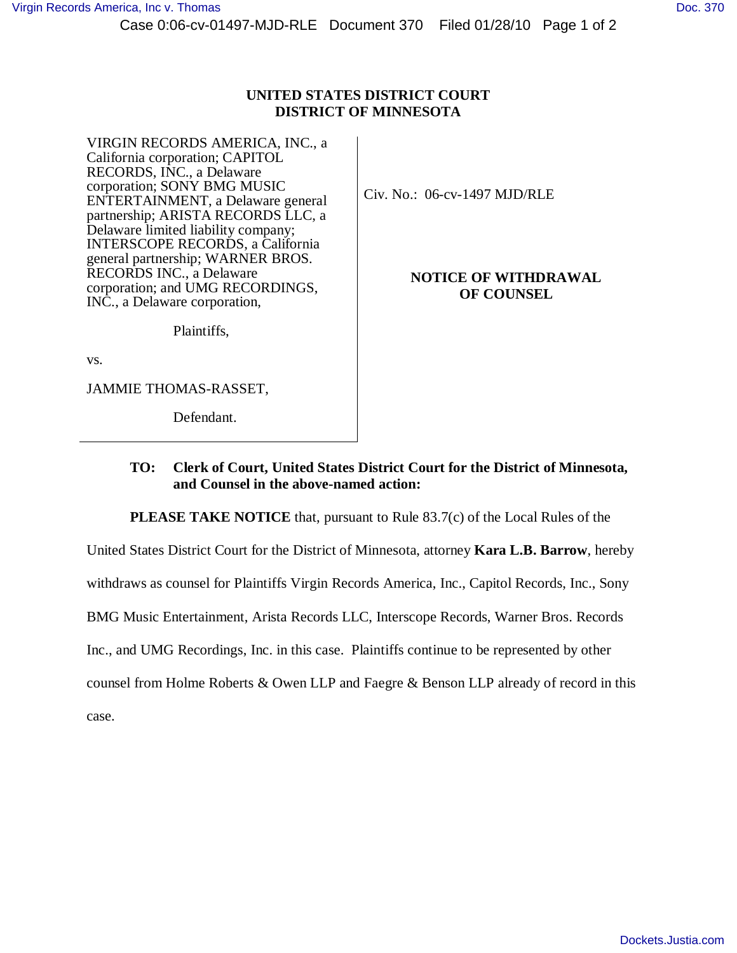Case 0:06-cv-01497-MJD-RLE Document 370 Filed 01/28/10 Page 1 of 2

## **UNITED STATES DISTRICT COURT DISTRICT OF MINNESOTA**

VIRGIN RECORDS AMERICA, INC., a California corporation; CAPITOL RECORDS, INC., a Delaware corporation; SONY BMG MUSIC ENTERTAINMENT, a Delaware general partnership; ARISTA RECORDS LLC, a Delaware limited liability company; INTERSCOPE RECORDS, a California general partnership; WARNER BROS. RECORDS INC., a Delaware corporation; and UMG RECORDINGS, INC., a Delaware corporation,

Civ. No.: 06-cv-1497 MJD/RLE

## **NOTICE OF WITHDRAWAL OF COUNSEL**

Plaintiffs,

vs.

JAMMIE THOMAS-RASSET,

Defendant.

## **TO: Clerk of Court, United States District Court for the District of Minnesota, and Counsel in the above-named action:**

**PLEASE TAKE NOTICE** that, pursuant to Rule 83.7(c) of the Local Rules of the

United States District Court for the District of Minnesota, attorney **Kara L.B. Barrow**, hereby

withdraws as counsel for Plaintiffs Virgin Records America, Inc., Capitol Records, Inc., Sony

BMG Music Entertainment, Arista Records LLC, Interscope Records, Warner Bros. Records

Inc., and UMG Recordings, Inc. in this case. Plaintiffs continue to be represented by other

counsel from Holme Roberts & Owen LLP and Faegre & Benson LLP already of record in this

case.